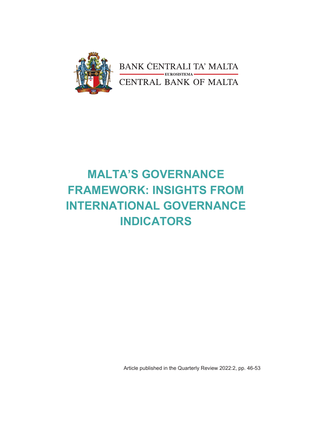

# **MALTA'S GOVERNANCE FRAMEWORK: INSIGHTS FROM INTERNATIONAL GOVERNANCE INDICATORS**

Article published in the Quarterly Review 2022:2, pp. 46-53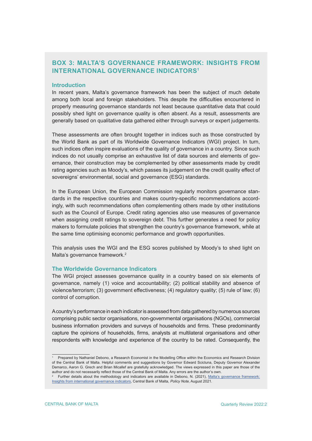# **BOX 3: MALTA'S GOVERNANCE FRAMEWORK: INSIGHTS FROM INTERNATIONAL GOVERNANCE INDICATORS1**

#### **Introduction**

In recent years, Malta's governance framework has been the subject of much debate among both local and foreign stakeholders. This despite the difficulties encountered in properly measuring governance standards not least because quantitative data that could possibly shed light on governance quality is often absent. As a result, assessments are generally based on qualitative data gathered either through surveys or expert judgements.

These assessments are often brought together in indices such as those constructed by the World Bank as part of its Worldwide Governance Indicators (WGI) project. In turn, such indices often inspire evaluations of the quality of governance in a country. Since such indices do not usually comprise an exhaustive list of data sources and elements of governance, their construction may be complemented by other assessments made by credit rating agencies such as Moody's, which passes its judgement on the credit quality effect of sovereigns' environmental, social and governance (ESG) standards.

In the European Union, the European Commission regularly monitors governance standards in the respective countries and makes country-specific recommendations accordingly, with such recommendations often complementing others made by other institutions such as the Council of Europe. Credit rating agencies also use measures of governance when assigning credit ratings to sovereign debt. This further generates a need for policy makers to formulate policies that strengthen the country's governance framework, while at the same time optimising economic performance and growth opportunities.

This analysis uses the WGI and the ESG scores published by Moody's to shed light on Malta's governance framework.<sup>2</sup>

#### **The Worldwide Governance Indicators**

The WGI project assesses governance quality in a country based on six elements of governance, namely (1) voice and accountability; (2) political stability and absence of violence/terrorism; (3) government effectiveness; (4) regulatory quality; (5) rule of law; (6) control of corruption.

A country's performance in each indicator is assessed from data gathered by numerous sources comprising public sector organisations, non-governmental organisations (NGOs), commercial business information providers and surveys of households and firms. These predominantly capture the opinions of households, firms, analysts at multilateral organisations and other respondents with knowledge and experience of the country to be rated. Consequently, the

<sup>1</sup> Prepared by Nathaniel Debono, a Research Economist in the Modelling Office within the Economics and Research Division of the Central Bank of Malta. Helpful comments and suggestions by Governor Edward Scicluna, Deputy Governor Alexander Demarco, Aaron G. Grech and Brian Micallef are gratefully acknowledged. The views expressed in this paper are those of the author and do not necessarily reflect those of the Central Bank of Malta. Any errors are the author's own.

<sup>2</sup> Further details about the methodology and indicators are available in Debono, N. (2021), [Malta's governance framework:](https://www.centralbankmalta.org/site/Publications/Economic%20Research/2021/policy-note-malta-governance-framework.pdf?revcount=9469) [Insights from international governance indicators,](https://www.centralbankmalta.org/site/Publications/Economic%20Research/2021/policy-note-malta-governance-framework.pdf?revcount=9469) Central Bank of Malta, Policy Note, August 2021.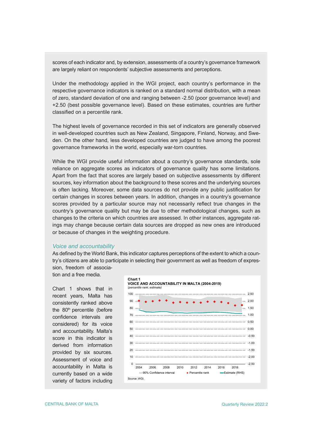scores of each indicator and, by extension, assessments of a country's governance framework are largely reliant on respondents' subjective assessments and perceptions.

Under the methodology applied in the WGI project, each country's performance in the respective governance indicators is ranked on a standard normal distribution, with a mean of zero, standard deviation of one and ranging between -2.50 (poor governance level) and +2.50 (best possible governance level). Based on these estimates, countries are further classified on a percentile rank.

The highest levels of governance recorded in this set of indicators are generally observed in well-developed countries such as New Zealand, Singapore, Finland, Norway, and Sweden. On the other hand, less developed countries are judged to have among the poorest governance frameworks in the world, especially war-torn countries.

While the WGI provide useful information about a country's governance standards, sole reliance on aggregate scores as indicators of governance quality has some limitations. Apart from the fact that scores are largely based on subjective assessments by different sources, key information about the background to these scores and the underlying sources is often lacking. Moreover, some data sources do not provide any public justification for certain changes in scores between years. In addition, changes in a country's governance scores provided by a particular source may not necessarily reflect true changes in the country's governance quality but may be due to other methodological changes, such as changes to the criteria on which countries are assessed. In other instances, aggregate ratings may change because certain data sources are dropped as new ones are introduced or because of changes in the weighting procedure.

#### *Voice and accountability*

As defined by the World Bank, this indicator captures perceptions of the extent to which a country's citizens are able to participate in selecting their government as well as freedom of expression, freedom of associa-

tion and a free media.

Chart 1 shows that in recent years, Malta has consistently ranked above the  $80<sup>th</sup>$  percentile (before confidence intervals are considered) for its voice and accountability. Malta's score in this indicator is derived from information provided by six sources. Assessment of voice and accountability in Malta is currently based on a wide variety of factors including

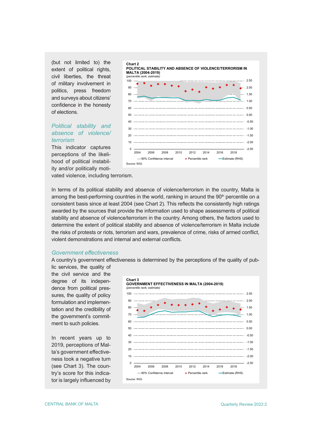(but not limited to) the extent of political rights, civil liberties, the threat of military involvement in politics, press freedom and surveys about citizens' confidence in the honesty of elections.

# *Political stability and absence of violence/ terrorism*

This indicator captures perceptions of the likelihood of political instability and/or politically moti-



vated violence, including terrorism.

In terms of its political stability and absence of violence/terrorism in the country, Malta is among the best-performing countries in the world, ranking in around the 90<sup>th</sup> percentile on a consistent basis since at least 2004 (see Chart 2). This reflects the consistently high ratings awarded by the sources that provide the information used to shape assessments of political stability and absence of violence/terrorism in the country. Among others, the factors used to determine the extent of political stability and absence of violence/terrorism in Malta include the risks of protests or riots, terrorism and wars, prevalence of crime, risks of armed conflict, violent demonstrations and internal and external conflicts.

#### *Government effectiveness*

A country's government effectiveness is determined by the perceptions of the quality of pub-

lic services, the quality of the civil service and the degree of its independence from political pressures, the quality of policy formulation and implementation and the credibility of the government's commitment to such policies.

In recent years up to 2019, perceptions of Malta's government effectiveness took a negative turn (see Chart 3). The country's score for this indicator is largely influenced by

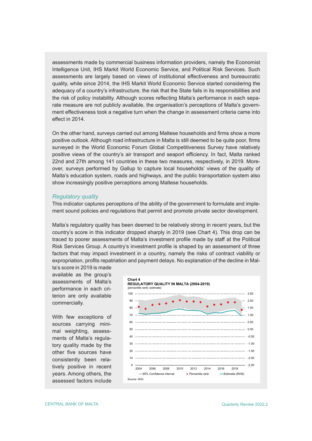assessments made by commercial business information providers, namely the Economist Intelligence Unit, IHS Markit World Economic Service, and Political Risk Services. Such assessments are largely based on views of institutional effectiveness and bureaucratic quality, while since 2014, the IHS Markit World Economic Service started considering the adequacy of a country's infrastructure, the risk that the State fails in its responsibilities and the risk of policy instability. Although scores reflecting Malta's performance in each separate measure are not publicly available, the organisation's perceptions of Malta's government effectiveness took a negative turn when the change in assessment criteria came into effect in 2014.

On the other hand, surveys carried out among Maltese households and firms show a more positive outlook. Although road infrastructure in Malta is still deemed to be quite poor, firms surveyed in the World Economic Forum Global Competitiveness Survey have relatively positive views of the country's air transport and seaport efficiency. In fact, Malta ranked 22nd and 27th among 141 countries in these two measures, respectively, in 2019. Moreover, surveys performed by Gallup to capture local households' views of the quality of Malta's education system, roads and highways, and the public transportation system also show increasingly positive perceptions among Maltese households.

#### *Regulatory quality*

This indicator captures perceptions of the ability of the government to formulate and implement sound policies and regulations that permit and promote private sector development.

Malta's regulatory quality has been deemed to be relatively strong in recent years, but the country's score in this indicator dropped sharply in 2019 (see Chart 4). This drop can be traced to poorer assessments of Malta's investment profile made by staff at the Political Risk Services Group. A country's investment profile is shaped by an assessment of three factors that may impact investment in a country, namely the risks of contract viability or expropriation, profits repatriation and payment delays. No explanation of the decline in Mal-

ta's score in 2019 is made available as the group's assessments of Malta's performance in each criterion are only available commercially.

With few exceptions of sources carrying minimal weighting, assessments of Malta's regulatory quality made by the other five sources have consistently been relatively positive in recent years. Among others, the assessed factors include

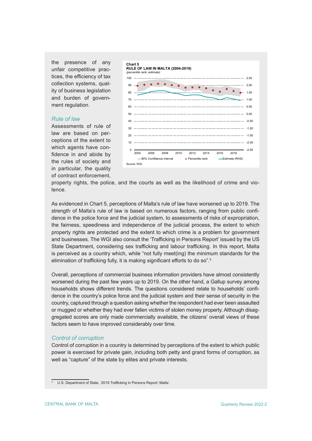the presence of any unfair competitive practices, the efficiency of tax collection systems, quality of business legislation and burden of government regulation.

# *Rule of law*

Assessments of rule of law are based on perceptions of the extent to which agents have confidence in and abide by the rules of society and in particular, the quality of contract enforcement,



property rights, the police, and the courts as well as the likelihood of crime and violence.

As evidenced in Chart 5, perceptions of Malta's rule of law have worsened up to 2019. The strength of Malta's rule of law is based on numerous factors, ranging from public confidence in the police force and the judicial system, to assessments of risks of expropriation, the fairness, speediness and independence of the judicial process, the extent to which property rights are protected and the extent to which crime is a problem for government and businesses. The WGI also consult the 'Trafficking in Persons Report' issued by the US State Department, considering sex trafficking and labour trafficking. In this report, Malta is perceived as a country which, while "not fully meet(ing) the minimum standards for the elimination of trafficking fully, it is making significant efforts to do so".<sup>3</sup>

Overall, perceptions of commercial business information providers have almost consistently worsened during the past few years up to 2019. On the other hand, a Gallup survey among households shows different trends. The questions considered relate to households' confidence in the country's police force and the judicial system and their sense of security in the country, captured through a question asking whether the respondent had ever been assaulted or mugged or whether they had ever fallen victims of stolen money property. Although disaggregated scores are only made commercially available, the citizens' overall views of these factors seem to have improved considerably over time.

# *Control of corruption*

Control of corruption in a country is determined by perceptions of the extent to which public power is exercised for private gain, including both petty and grand forms of corruption, as well as "capture" of the state by elites and private interests.

<sup>&</sup>lt;sup>3</sup> U.S. Department of State, '2019 Trafficking in Persons Report: Malta'.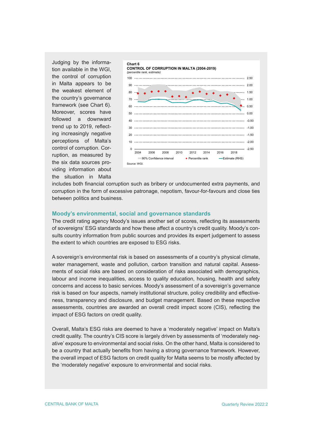Judging by the information available in the WGI, the control of corruption in Malta appears to be the weakest element of the country's governance framework (see Chart 6). Moreover, scores have followed a downward trend up to 2019, reflecting increasingly negative perceptions of Malta's control of corruption. Corruption, as measured by the six data sources providing information about the situation in Malta



includes both financial corruption such as bribery or undocumented extra payments, and corruption in the form of excessive patronage, nepotism, favour-for-favours and close ties between politics and business.

# **Moody's environmental, social and governance standards**

The credit rating agency Moody's issues another set of scores, reflecting its assessments of sovereigns' ESG standards and how these affect a country's credit quality. Moody's consults country information from public sources and provides its expert judgement to assess the extent to which countries are exposed to ESG risks.

A sovereign's environmental risk is based on assessments of a country's physical climate, water management, waste and pollution, carbon transition and natural capital. Assessments of social risks are based on consideration of risks associated with demographics, labour and income inequalities, access to quality education, housing, health and safety concerns and access to basic services. Moody's assessment of a sovereign's governance risk is based on four aspects, namely institutional structure, policy credibility and effectiveness, transparency and disclosure, and budget management. Based on these respective assessments, countries are awarded an overall credit impact score (CIS), reflecting the impact of ESG factors on credit quality.

Overall, Malta's ESG risks are deemed to have a 'moderately negative' impact on Malta's credit quality. The country's CIS score is largely driven by assessments of 'moderately negative' exposure to environmental and social risks. On the other hand, Malta is considered to be a country that actually benefits from having a strong governance framework. However, the overall impact of ESG factors on credit quality for Malta seems to be mostly affected by the 'moderately negative' exposure to environmental and social risks.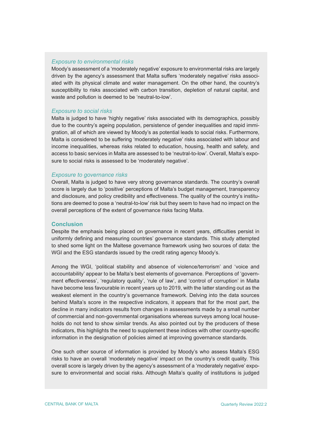# *Exposure to environmental risks*

Moody's assessment of a 'moderately negative' exposure to environmental risks are largely driven by the agency's assessment that Malta suffers 'moderately negative' risks associated with its physical climate and water management. On the other hand, the country's susceptibility to risks associated with carbon transition, depletion of natural capital, and waste and pollution is deemed to be 'neutral-to-low'.

# *Exposure to social risks*

Malta is judged to have 'highly negative' risks associated with its demographics, possibly due to the country's ageing population, persistence of gender inequalities and rapid immigration, all of which are viewed by Moody's as potential leads to social risks. Furthermore, Malta is considered to be suffering 'moderately negative' risks associated with labour and income inequalities, whereas risks related to education, housing, health and safety, and access to basic services in Malta are assessed to be 'neutral-to-low'. Overall, Malta's exposure to social risks is assessed to be 'moderately negative'.

# *Exposure to governance risks*

Overall, Malta is judged to have very strong governance standards. The country's overall score is largely due to 'positive' perceptions of Malta's budget management, transparency and disclosure, and policy credibility and effectiveness. The quality of the country's institutions are deemed to pose a 'neutral-to-low' risk but they seem to have had no impact on the overall perceptions of the extent of governance risks facing Malta.

#### **Conclusion**

Despite the emphasis being placed on governance in recent years, difficulties persist in uniformly defining and measuring countries' governance standards. This study attempted to shed some light on the Maltese governance framework using two sources of data: the WGI and the ESG standards issued by the credit rating agency Moody's.

Among the WGI, 'political stability and absence of violence/terrorism' and 'voice and accountability' appear to be Malta's best elements of governance. Perceptions of 'government effectiveness', 'regulatory quality', 'rule of law', and 'control of corruption' in Malta have become less favourable in recent years up to 2019, with the latter standing out as the weakest element in the country's governance framework. Delving into the data sources behind Malta's score in the respective indicators, it appears that for the most part, the decline in many indicators results from changes in assessments made by a small number of commercial and non-governmental organisations whereas surveys among local households do not tend to show similar trends. As also pointed out by the producers of these indicators, this highlights the need to supplement these indices with other country-specific information in the designation of policies aimed at improving governance standards.

One such other source of information is provided by Moody's who assess Malta's ESG risks to have an overall 'moderately negative' impact on the country's credit quality. This overall score is largely driven by the agency's assessment of a 'moderately negative' exposure to environmental and social risks. Although Malta's quality of institutions is judged